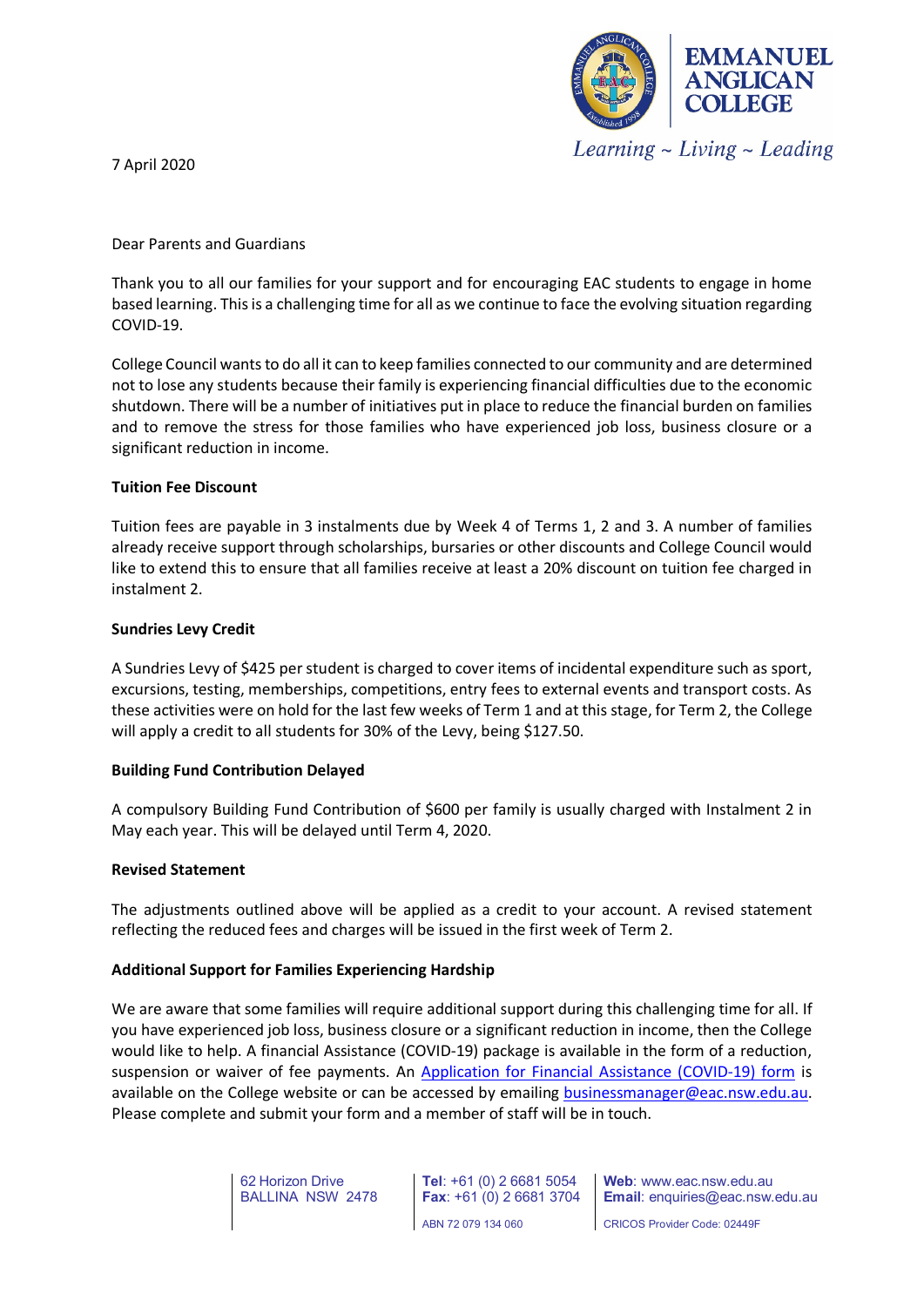

7 April 2020

# Dear Parents and Guardians

Thank you to all our families for your support and for encouraging EAC students to engage in home based learning. This is a challenging time for all as we continue to face the evolving situation regarding COVID-19.

College Council wants to do all it can to keep families connected to our community and are determined not to lose any students because their family is experiencing financial difficulties due to the economic shutdown. There will be a number of initiatives put in place to reduce the financial burden on families and to remove the stress for those families who have experienced job loss, business closure or a significant reduction in income.

# **Tuition Fee Discount**

Tuition fees are payable in 3 instalments due by Week 4 of Terms 1, 2 and 3. A number of families already receive support through scholarships, bursaries or other discounts and College Council would like to extend this to ensure that all families receive at least a 20% discount on tuition fee charged in instalment 2.

# **Sundries Levy Credit**

A Sundries Levy of \$425 per student is charged to cover items of incidental expenditure such as sport, excursions, testing, memberships, competitions, entry fees to external events and transport costs. As these activities were on hold for the last few weeks of Term 1 and at this stage, for Term 2, the College will apply a credit to all students for 30% of the Levy, being \$127.50.

## **Building Fund Contribution Delayed**

A compulsory Building Fund Contribution of \$600 per family is usually charged with Instalment 2 in May each year. This will be delayed until Term 4, 2020.

## **Revised Statement**

The adjustments outlined above will be applied as a credit to your account. A revised statement reflecting the reduced fees and charges will be issued in the first week of Term 2.

## **Additional Support for Families Experiencing Hardship**

We are aware that some families will require additional support during this challenging time for all. If you have experienced job loss, business closure or a significant reduction in income, then the College would like to help. A financial Assistance (COVID-19) package is available in the form of a reduction, suspension or waiver of fee payments. An [Application for Financial Assistance \(COVID-19\) form](http://www.eac.nsw.edu.au/wp-content/uploads/2020/04/Application-for-Financial-Assistance-COVID19-Form.pdf) is available on the College website or can be accessed by emailing [businessmanager@eac.nsw.edu.au.](mailto:businessmanager@eac.nsw.edu.au) Please complete and submit your form and a member of staff will be in touch.

> 62 Horizon Drive BALLINA NSW 2478

**Tel**: +61 (0) 2 6681 5054 **Fax**: +61 (0) 2 6681 3704 ABN 72 079 134 060

**Web**: www.eac.nsw.edu.au **Email**: enquiries@eac.nsw.edu.au

CRICOS Provider Code: 02449F